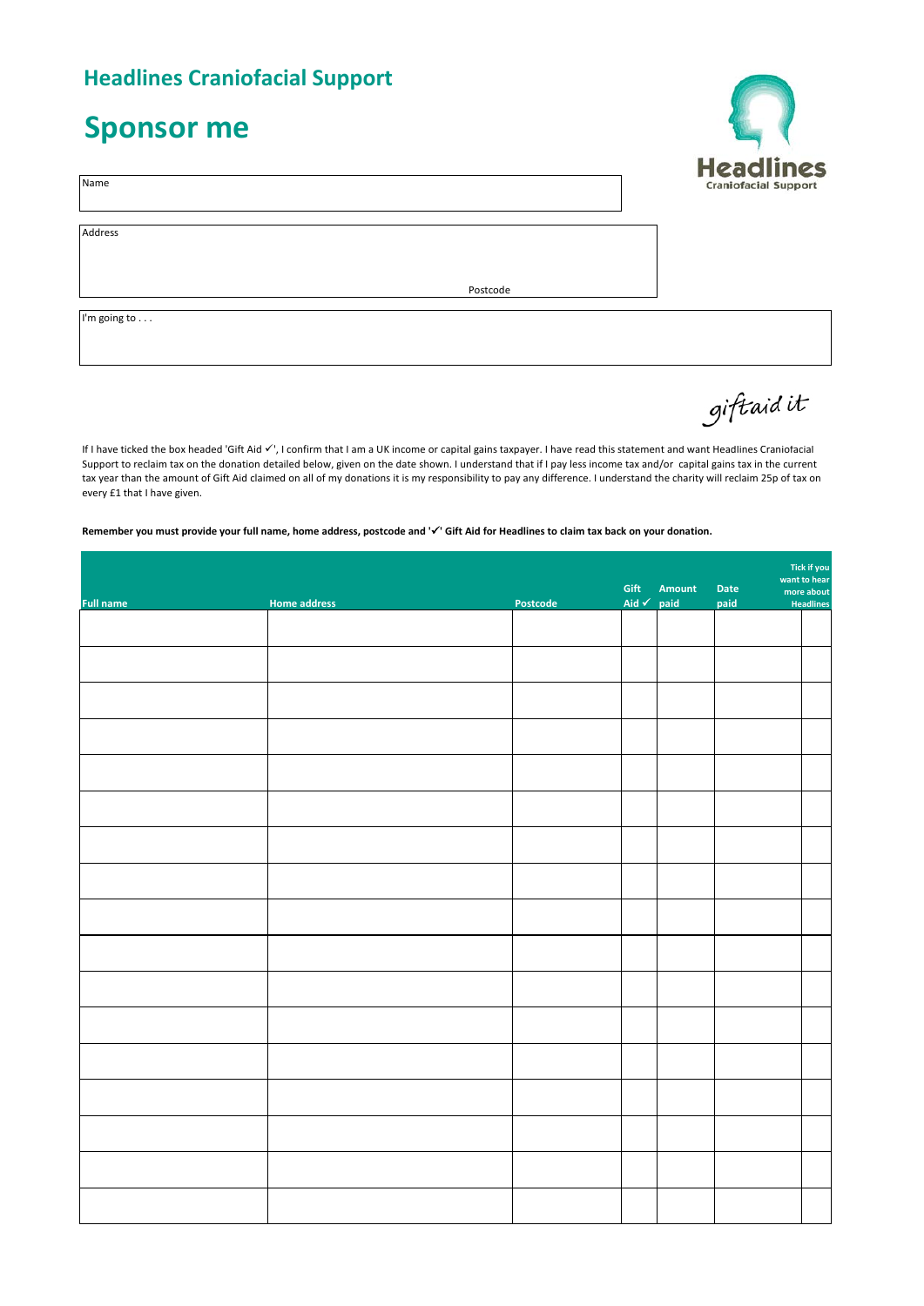## **Headlines Craniofacial Support**

## **Sponsor me**

Name

Address

Postcode

I'm going to . . .

If I have ticked the box headed 'Gift Aid  $\checkmark$ ', I confirm that I am a UK income or capital gains taxpayer. I have read this statement and want Headlines Craniofacial Support to reclaim tax on the donation detailed below, given on the date shown. I understand that if I pay less income tax and/or capital gains tax in the current tax year than the amount of Gift Aid claimed on all of my donations it is my responsibility to pay any difference. I understand the charity will reclaim 25p of tax on every £1 that I have given.

## **Remember you must provide your full name, home address, postcode and '' Gift Aid for Headlines to claim tax back on your donation.**

|                  |                     |          | Gift                  | Amount | Tick if you<br>want to hear<br>Date<br>more about |           |
|------------------|---------------------|----------|-----------------------|--------|---------------------------------------------------|-----------|
| <b>Full name</b> | <b>Home address</b> | Postcode | Aid $\checkmark$ paid |        | paid                                              | Headlines |
|                  |                     |          |                       |        |                                                   |           |
|                  |                     |          |                       |        |                                                   |           |
|                  |                     |          |                       |        |                                                   |           |
|                  |                     |          |                       |        |                                                   |           |
|                  |                     |          |                       |        |                                                   |           |
|                  |                     |          |                       |        |                                                   |           |
|                  |                     |          |                       |        |                                                   |           |
|                  |                     |          |                       |        |                                                   |           |
|                  |                     |          |                       |        |                                                   |           |
|                  |                     |          |                       |        |                                                   |           |
|                  |                     |          |                       |        |                                                   |           |
|                  |                     |          |                       |        |                                                   |           |
|                  |                     |          |                       |        |                                                   |           |
|                  |                     |          |                       |        |                                                   |           |
|                  |                     |          |                       |        |                                                   |           |
|                  |                     |          |                       |        |                                                   |           |
|                  |                     |          |                       |        |                                                   |           |



giftaidit